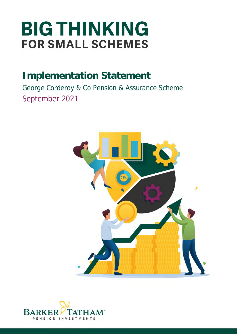# **BIG THINKING FOR SMALL SCHEMES**

## **Implementation Statement**

George Corderoy & Co Pension & Assurance Scheme September 2021



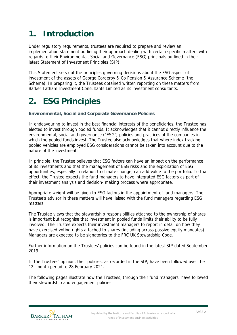### **1. Introduction**

Under regulatory requirements, trustees are required to prepare and review an implementation statement outlining their approach dealing with certain specific matters with regards to their Environmental, Social and Governance (ESG) principals outlined in their latest Statement of Investment Principles (SIP).

This Statement sets out the principles governing decisions about the ESG aspect of investment of the assets of George Corderoy & Co Pension & Assurance Scheme (the Scheme). In preparing it, the Trustees obtained written reporting on these matters from Barker Tatham Investment Consultants Limited as its investment consultants.

#### **2. ESG Principles**

**Environmental, Social and Corporate Governance Policies**

In endeavouring to invest in the best financial interests of the beneficiaries, the Trustee has elected to invest through pooled funds. It acknowledges that it cannot directly influence the environmental, social and governance ("ESG") policies and practices of the companies in which the pooled funds invest. The Trustee also acknowledges that where index tracking pooled vehicles are employed ESG considerations cannot be taken into account due to the nature of the investment.

In principle, the Trustee believes that ESG factors can have an impact on the performance of its investments and that the management of ESG risks and the exploitation of ESG opportunities, especially in relation to climate change, can add value to the portfolio. To that effect, the Trustee expects the fund managers to have integrated ESG factors as part of their investment analysis and decision- making process where appropriate.

Appropriate weight will be given to ESG factors in the appointment of fund managers. The Trustee's advisor in these matters will have liaised with the fund managers regarding ESG matters.

The Trustee views that the stewardship responsibilities attached to the ownership of shares is important but recognise that investment in pooled funds limits their ability to be fully involved. The Trustee expects their investment managers to report in detail on how they have exercised voting rights attached to shares (including across passive equity mandates). Managers are expected to be signatories to the FRC UK Stewardship Code.

Further information on the Trustees' policies can be found in the latest SIP dated September 2019.

In the Trustees' opinion, their policies, as recorded in the SIP, have been followed over the 12 -month period to 28 February 2021.

The following pages illustrate how the Trustees, through their fund managers, have followed their stewardship and engagement policies.

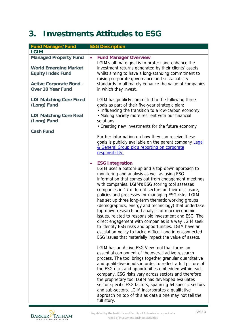### **3. Investments Attitudes to ESG**

| <b>Fund Manager/Fund</b>                                                                 | <b>ESG Description</b>                                                                                                                                                                                                                                                                                                                                                                                                                                                                                                                                                                                                                                                                                                                                                                                                                |
|------------------------------------------------------------------------------------------|---------------------------------------------------------------------------------------------------------------------------------------------------------------------------------------------------------------------------------------------------------------------------------------------------------------------------------------------------------------------------------------------------------------------------------------------------------------------------------------------------------------------------------------------------------------------------------------------------------------------------------------------------------------------------------------------------------------------------------------------------------------------------------------------------------------------------------------|
| <b>LGIM</b>                                                                              |                                                                                                                                                                                                                                                                                                                                                                                                                                                                                                                                                                                                                                                                                                                                                                                                                                       |
| <b>Managed Property Fund</b><br><b>World Emerging Market</b><br><b>Equity Index Fund</b> | <b>Fund Manager Overview</b><br>$\bullet$<br>LGIM's ultimate goal is to protect and enhance the<br>investment returns generated by their clients' assets<br>whilst aiming to have a long-standing commitment to<br>raising corporate governance and sustainability                                                                                                                                                                                                                                                                                                                                                                                                                                                                                                                                                                    |
| <b>Active Corporate Bond -</b><br><b>Over 10 Year Fund</b>                               | standards to ultimately enhance the value of companies<br>in which they invest.                                                                                                                                                                                                                                                                                                                                                                                                                                                                                                                                                                                                                                                                                                                                                       |
| <b>LDI Matching Core Fixed</b><br>(Long) Fund                                            | LGIM has publicly committed to the following three<br>goals as part of their five-year strategic plan:<br>• Influencing the transition to a low-carbon economy                                                                                                                                                                                                                                                                                                                                                                                                                                                                                                                                                                                                                                                                        |
| <b>LDI Matching Core Real</b><br>(Long) Fund                                             | • Making society more resilient with our financial<br>solutions<br>• Creating new investments for the future economy                                                                                                                                                                                                                                                                                                                                                                                                                                                                                                                                                                                                                                                                                                                  |
| <b>Cash Fund</b>                                                                         | Further information on how they can receive these<br>goals is publicly available on the parent company Legal                                                                                                                                                                                                                                                                                                                                                                                                                                                                                                                                                                                                                                                                                                                          |
|                                                                                          | & General Group plc's reporting on corporate<br>responsibility.                                                                                                                                                                                                                                                                                                                                                                                                                                                                                                                                                                                                                                                                                                                                                                       |
|                                                                                          | <b>ESG Integration</b><br>$\bullet$<br>LGIM uses a bottom-up and a top-down approach to<br>monitoring and analysis as well as using ESG<br>information that comes out from engagement meetings<br>with companies. LGIM's ESG scoring tool assesses<br>companies in 17 different sectors on their disclosure,<br>policies and processes for managing ESG risks. LGIM<br>has set up three long-term thematic working groups<br>(demographics, energy and technology) that undertake<br>top-down research and analysis of macroeconomic<br>issues, related to responsible investment and ESG. The<br>direct engagement with companies is a way LGIM seek<br>to identify ESG risks and opportunities. LGIM have an<br>escalation policy to tackle difficult and inter-connected<br>ESG issues that materially impact the value of assets. |
|                                                                                          | LGIM has an Active ESG View tool that forms an<br>essential component of the overall active research<br>process. The tool brings together granular quantitative<br>and qualitative inputs in order to reflect a full picture of<br>the ESG risks and opportunities embedded within each<br>company. ESG risks vary across sectors and therefore<br>the proprietary tool LGIM has developed evaluates<br>sector specific ESG factors, spanning 64 specific sectors<br>and sub-sectors. LGIM incorporates a qualitative<br>approach on top of this as data alone may not tell the<br>full story.                                                                                                                                                                                                                                        |

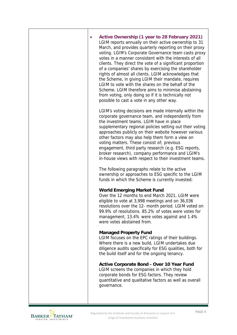| Active Ownership (1 year to 28 February 2021)<br>LGIM reports annually on their active ownership to 31<br>March, and provides quarterly reporting on their proxy<br>voting. LGIM's Corporate Governance team casts proxy<br>votes in a manner consistent with the interests of all<br>clients. They direct the vote of a significant proportion<br>of a companies' shares by exercising the shareholder<br>rights of almost all clients. LGIM acknowledges that<br>the Scheme, in giving LGIM their mandate, requires<br>LGIM to vote with the shares on the behalf of the<br>Scheme. LGIM therefore aims to minimise abstaining<br>from voting, only doing so if it is technically not<br>possible to cast a vote in any other way. |
|--------------------------------------------------------------------------------------------------------------------------------------------------------------------------------------------------------------------------------------------------------------------------------------------------------------------------------------------------------------------------------------------------------------------------------------------------------------------------------------------------------------------------------------------------------------------------------------------------------------------------------------------------------------------------------------------------------------------------------------|
| LGIM's voting decisions are made internally within the<br>corporate governance team, and independently from<br>the investment teams. LGIM have in place<br>supplementary regional policies setting out their voting<br>approaches publicly on their website however various<br>other factors may also help them form a view on<br>voting matters. These consist of; previous<br>engagement, third party research (e.g. ESG reports,<br>broker research), company performance and LGIM's<br>in-house views with respect to their investment teams.                                                                                                                                                                                    |
| The following paragraphs relate to the active<br>ownership or approaches to ESG specific to the LGIM<br>funds in which the Scheme is currently invested:                                                                                                                                                                                                                                                                                                                                                                                                                                                                                                                                                                             |
| <b>World Emerging Market Fund</b><br>Over the 12 months to end March 2021, LGIM were<br>eligible to vote at 3,998 meetings and on 36,036<br>resolutions over the 12- month period. LGIM voted on<br>99.9% of resolutions. 85.2% of votes were votes for<br>management, 13.4% were votes against and 1.4%<br>were votes abstained from.                                                                                                                                                                                                                                                                                                                                                                                               |
| <b>Managed Property Fund</b><br>LGIM focuses on the EPC ratings of their buildings.<br>Where there is a new build, LGIM undertakes due<br>diligence audits specifically for ESG qualities, both for<br>the build itself and for the ongoing tenancy.                                                                                                                                                                                                                                                                                                                                                                                                                                                                                 |
| Active Corporate Bond - Over 10 Year Fund<br>LGIM screens the companies in which they hold<br>corporate bonds for ESG factors. They review<br>quantitative and qualitative factors as well as overall<br>governance.                                                                                                                                                                                                                                                                                                                                                                                                                                                                                                                 |
|                                                                                                                                                                                                                                                                                                                                                                                                                                                                                                                                                                                                                                                                                                                                      |

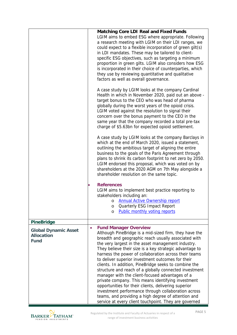|                                                                 |           | <b>Matching Core LDI Real and Fixed Funds</b><br>LGIM aims to embed ESG where appropriate. Following<br>a research meeting with LGIM on their LDI ranges, we<br>could expect to a flexible incorporation of green gilt(s)<br>in LDI mandates. These may be tailored to client-<br>specific ESG objectives, such as targeting a minimum<br>proportion in green gilts. LGIM also considers how ESG<br>is incorporated in their choice of counterparties, which<br>they use by reviewing quantitative and qualitative<br>factors as well as overall governance.                                                                                                                                                                                                                                                                             |
|-----------------------------------------------------------------|-----------|------------------------------------------------------------------------------------------------------------------------------------------------------------------------------------------------------------------------------------------------------------------------------------------------------------------------------------------------------------------------------------------------------------------------------------------------------------------------------------------------------------------------------------------------------------------------------------------------------------------------------------------------------------------------------------------------------------------------------------------------------------------------------------------------------------------------------------------|
|                                                                 |           | A case study by LGIM looks at the company Cardinal<br>Health in which in November 2020, paid out an above -<br>target bonus to the CEO who was head of pharma<br>globally during the worst years of the opioid crisis.<br>LGIM voted against the resolution to signal their<br>concern over the bonus payment to the CEO in the<br>same year that the company recorded a total pre-tax<br>charge of \$5.63bn for expected opioid settlement.                                                                                                                                                                                                                                                                                                                                                                                             |
|                                                                 |           | A case study by LGIM looks at the company Barclays in<br>which at the end of March 2020, issued a statement,<br>outlining the ambitious target of aligning the entire<br>business to the goals of the Paris Agreement through<br>plans to shrink its carbon footprint to net zero by 2050.<br>LGIM endorsed this proposal, which was voted on by<br>shareholders at the 2020 AGM on 7th May alongside a<br>shareholder resolution on the same topic.                                                                                                                                                                                                                                                                                                                                                                                     |
|                                                                 |           | <b>References</b><br>LGIM aims to implement best practice reporting to<br>stakeholders including an:<br>o Annual Active Ownership report<br><b>Quarterly ESG Impact Report</b><br>O<br><b>Public monthly voting reports</b><br>O                                                                                                                                                                                                                                                                                                                                                                                                                                                                                                                                                                                                         |
| <b>PineBridge</b>                                               |           |                                                                                                                                                                                                                                                                                                                                                                                                                                                                                                                                                                                                                                                                                                                                                                                                                                          |
| <b>Global Dynamic Asset</b><br><b>Allocation</b><br><b>Fund</b> | $\bullet$ | <b>Fund Manager Overview</b><br>Although PineBridge is a mid-sized firm, they have the<br>breadth and geographic reach usually associated with<br>the very largest in the asset management industry.<br>They believe their size is a key strategic advantage to<br>harness the power of collaboration across their teams<br>to deliver superior investment outcomes for their<br>clients. In addition, PineBridge seeks to combine the<br>structure and reach of a globally connected investment<br>manager with the client-focused advantages of a<br>private company. This means identifying investment<br>opportunities for their clients, delivering superior<br>investment performance through collaboration across<br>teams, and providing a high degree of attention and<br>service at every client touchpoint. They are governed |

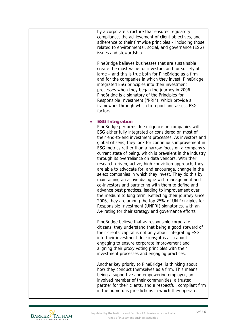|  | by a corporate structure that ensures regulatory<br>compliance, the achievement of client objectives, and<br>adherence to their firmwide principles - including those<br>related to environmental, social, and governance (ESG)<br>issues and stewardship.                                                                                                                                                                                                                                                                                                                                                                                                                                                                                                                                                                                                                                                                                                                                                                        |
|--|-----------------------------------------------------------------------------------------------------------------------------------------------------------------------------------------------------------------------------------------------------------------------------------------------------------------------------------------------------------------------------------------------------------------------------------------------------------------------------------------------------------------------------------------------------------------------------------------------------------------------------------------------------------------------------------------------------------------------------------------------------------------------------------------------------------------------------------------------------------------------------------------------------------------------------------------------------------------------------------------------------------------------------------|
|  | PineBridge believes businesses that are sustainable<br>create the most value for investors and for society at<br>large – and this is true both for PineBridge as a firm<br>and for the companies in which they invest. PineBridge<br>integrated ESG principles into their investment<br>processes when they began the journey in 2006.<br>PineBridge is a signatory of the Principles for<br>Responsible Investment ("PRI"), which provide a<br>framework through which to report and assess ESG<br>factors.                                                                                                                                                                                                                                                                                                                                                                                                                                                                                                                      |
|  | <b>ESG Integration</b><br>PineBridge performs due diligence on companies with<br>ESG either fully integrated or considered on most of<br>their end-to-end investment processes. As investors and<br>global citizens, they look for continuous improvement in<br>ESG metrics rather than a narrow focus on a company's<br>current state of being, which is prevalent in the industry<br>through its overreliance on data vendors. With their<br>research-driven, active, high-conviction approach, they<br>are able to advocate for, and encourage, change in the<br>select companies in which they invest. They do this by<br>maintaining an active dialogue with management and<br>co-investors and partnering with them to define and<br>advance best practices, leading to improvement over<br>the medium to long term. Reflecting their journey since<br>2006, they are among the top 25% of UN Principles for<br>Responsible Investment (UNPRI) signatories, with an<br>A+ rating for their strategy and governance efforts. |
|  | PineBridge believe that as responsible corporate<br>citizens, they understand that being a good steward of<br>their clients' capital is not only about integrating ESG<br>into their investment decisions; it is also about<br>engaging to ensure corporate improvement and<br>aligning their proxy voting principles with their<br>investment processes and engaging practices.                                                                                                                                                                                                                                                                                                                                                                                                                                                                                                                                                                                                                                                  |
|  | Another key priority to PineBridge, is thinking about<br>how they conduct themselves as a firm. This means<br>being a supportive and empowering employer, an<br>involved member of their communities, a trusted<br>partner for their clients, and a respectful, compliant firm<br>in the numerous jurisdictions in which they operate.                                                                                                                                                                                                                                                                                                                                                                                                                                                                                                                                                                                                                                                                                            |

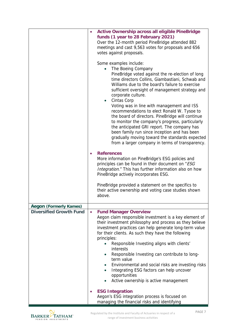|                                | <b>Active Ownership across all eligible PineBridge</b><br>funds (1 year to 28 February 2021)<br>Over the 12-month period PineBridge attended 882<br>meetings and cast 9,563 votes for proposals and 656<br>votes against proposals.<br>Some examples include:<br>The Boeing Company<br>PineBridge voted against the re-election of long<br>time directors Collins, Giambastiani, Schwab and<br>Williams due to the board's failure to exercise<br>sufficient oversight of management strategy and<br>corporate culture.<br>Cintas Corp<br>Voting was in line with management and ISS<br>recommendations to elect Ronald W. Tysoe to<br>the board of directors. PineBridge will continue<br>to monitor the company's progress, particularly<br>the anticipated GRI report. The company has<br>been family run since inception and has been<br>gradually moving toward the standards expected<br>from a larger company in terms of transparency. |
|--------------------------------|------------------------------------------------------------------------------------------------------------------------------------------------------------------------------------------------------------------------------------------------------------------------------------------------------------------------------------------------------------------------------------------------------------------------------------------------------------------------------------------------------------------------------------------------------------------------------------------------------------------------------------------------------------------------------------------------------------------------------------------------------------------------------------------------------------------------------------------------------------------------------------------------------------------------------------------------|
|                                | <b>References</b><br>More information on PineBridge's ESG policies and<br>principles can be found in their document on "ESG<br>Integration." This has further information also on how<br>PineBridge actively incorporates ESG.<br>PineBridge provided a statement on the specifics to<br>their active ownership and voting case studies shown<br>above.                                                                                                                                                                                                                                                                                                                                                                                                                                                                                                                                                                                        |
| <b>Aegon (Formerly Kames)</b>  |                                                                                                                                                                                                                                                                                                                                                                                                                                                                                                                                                                                                                                                                                                                                                                                                                                                                                                                                                |
| <b>Diversified Growth Fund</b> | <b>Fund Manager Overview</b><br>Aegon claim responsible investment is a key element of<br>their investment philosophy and process as they believe<br>investment practices can help generate long-term value<br>for their clients. As such they have the following<br>principles:<br>Responsible Investing aligns with clients'<br>$\bullet$<br>interests<br>Responsible Investing can contribute to long-<br>term value<br>Environmental and social risks are investing risks<br>Integrating ESG factors can help uncover<br>opportunities<br>Active ownership is active management                                                                                                                                                                                                                                                                                                                                                            |
|                                | <b>ESG Integration</b><br>Aegon's ESG integration process is focused on<br>managing the financial risks and identifying                                                                                                                                                                                                                                                                                                                                                                                                                                                                                                                                                                                                                                                                                                                                                                                                                        |

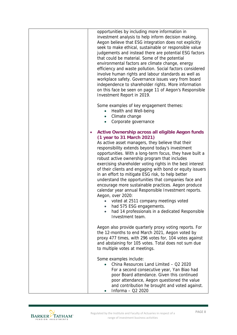| opportunities by including more information in<br>investment analysis to help inform decision making.<br>Aegon believe that ESG integration does not explicitly<br>seek to make ethical, sustainable or responsible value<br>judgements and instead there are potential ESG factors<br>that could be material. Some of the potential<br>environmental factors are climate change, energy<br>efficiency and waste pollution. Social factors considered<br>involve human rights and labour standards as well as<br>workplace safety. Governance issues vary from board<br>independence to shareholder rights. More information<br>on this face be seen on page 11 of Aegon's Responsible<br>Investment Report in 2019.                                                                                                             |
|----------------------------------------------------------------------------------------------------------------------------------------------------------------------------------------------------------------------------------------------------------------------------------------------------------------------------------------------------------------------------------------------------------------------------------------------------------------------------------------------------------------------------------------------------------------------------------------------------------------------------------------------------------------------------------------------------------------------------------------------------------------------------------------------------------------------------------|
| Some examples of key engagement themes:<br>Health and Well-being<br>Climate change<br>$\bullet$<br>Corporate governance<br>$\bullet$                                                                                                                                                                                                                                                                                                                                                                                                                                                                                                                                                                                                                                                                                             |
| <b>Active Ownership across all eligible Aegon funds</b><br>(1 year to 31 March 2021)<br>As active asset managers, they believe that their<br>responsibility extends beyond today's investment<br>opportunities. With a long-term focus, they have built a<br>robust active ownership program that includes<br>exercising shareholder voting rights in the best interest<br>of their clients and engaging with bond or equity issuers<br>in an effort to mitigate ESG risk, to help better<br>understand the opportunities that companies face and<br>encourage more sustainable practices. Aegon produce<br>calendar year annual Responsible Investment reports.<br>Aegon, over 2020:<br>voted at 2511 company meetings voted<br>had 575 ESG engagements.<br>had 14 professionals in a dedicated Responsible<br>Investment team. |
| Aegon also provide quarterly proxy voting reports. For<br>the 12-months to end March 2021, Aegon voted by<br>proxy 477 times, with 296 votes for, 104 votes against<br>and abstaining for 105 votes. Total does not sum due<br>to multiple votes at meetings.                                                                                                                                                                                                                                                                                                                                                                                                                                                                                                                                                                    |
| Some examples include:<br>China Resources Land Limited - Q2 2020<br>For a second consecutive year, Yan Biao had<br>poor Board attendance. Given this continued<br>poor attendance, Aegon questioned the value<br>and contribution he brought and voted against.<br>Informa - Q2 2020                                                                                                                                                                                                                                                                                                                                                                                                                                                                                                                                             |

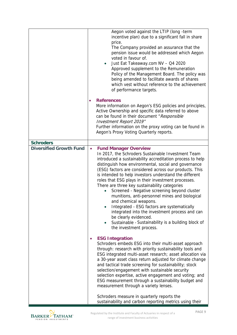|                                | Aegon voted against the LTIP (long -term<br>incentive plan) due to a significant fall in share<br>price.<br>The Company provided an assurance that the<br>pension issue would be addressed which Aegon<br>voted in favour of.<br>Just Eat Takeaway.com NV - Q4 2020<br>$\bullet$<br>Approved supplement to the Remuneration<br>Policy of the Management Board. The policy was<br>being amended to facilitate awards of shares<br>which vest without reference to the achievement<br>of performance targets.                                                                                                                                                                                                                                                                                          |
|--------------------------------|------------------------------------------------------------------------------------------------------------------------------------------------------------------------------------------------------------------------------------------------------------------------------------------------------------------------------------------------------------------------------------------------------------------------------------------------------------------------------------------------------------------------------------------------------------------------------------------------------------------------------------------------------------------------------------------------------------------------------------------------------------------------------------------------------|
|                                | <b>References</b><br>$\bullet$<br>More information on Aegon's ESG policies and principles,<br>Active Ownership and specific data referred to above<br>can be found in their document "Responsible<br>Investment Report 2019"<br>Further information on the proxy voting can be found in<br>Aegon's Proxy Voting Quarterly reports.                                                                                                                                                                                                                                                                                                                                                                                                                                                                   |
| <b>Schroders</b>               |                                                                                                                                                                                                                                                                                                                                                                                                                                                                                                                                                                                                                                                                                                                                                                                                      |
| <b>Diversified Growth Fund</b> | <b>Fund Manager Overview</b><br>$\bullet$<br>In 2017, the Schroders Sustainable Investment Team<br>introduced a sustainability accreditation process to help<br>distinguish how environmental, social and governance<br>(ESG) factors are considered across our products. This<br>is intended to help investors understand the different<br>roles that ESG plays in their investment processes.<br>There are three key sustainability categories<br>Screened - Negative screening beyond cluster<br>$\bullet$<br>munitions, anti-personnel mines and biological<br>and chemical weapons.<br>Integrated - ESG factors are systematically<br>integrated into the investment process and can<br>be clearly evidenced.<br>Sustainable - Sustainability is a building block of<br>the investment process. |
|                                | <b>ESG Integration</b><br>Schroders embeds ESG into their multi-asset approach<br>through: research with priority sustainability tools and<br>ESG integrated multi-asset research; asset allocation via<br>a 30-year asset class return adjusted for climate change<br>and tactical trade screening for sustainability; stock<br>selection/engagement with sustainable security<br>selection expertise, active engagement and voting; and<br>ESG measurement through a sustainability budget and<br>measurement through a variety lenses.<br>Schroders measure in quarterly reports the<br>sustainability and carbon reporting metrics using their                                                                                                                                                   |